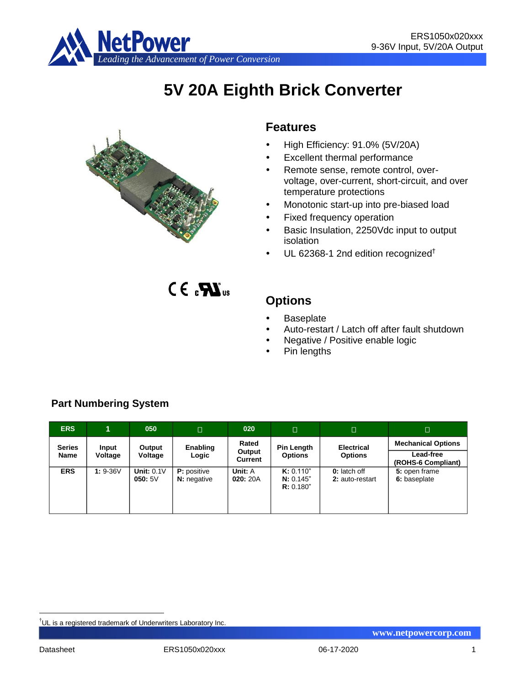

# **5V 20A Eighth Brick Converter**



## **Features**

- High Efficiency: 91.0% (5V/20A)
- Excellent thermal performance
- Remote sense, remote control, overvoltage, over-current, short-circuit, and over temperature protections
- Monotonic start-up into pre-biased load
- Fixed frequency operation
- Basic Insulation, 2250Vdc input to output isolation
- UL 62368-1 2nd edition recognized†

 $C \in \mathbf{R}$ 

## **Options**

- Baseplate
- Auto-restart / Latch off after fault shutdown
- Negative / Positive enable logic
- Pin lengths

| <b>ERS</b>            | 1                | 050                    | п                                  | 020                               | $\Box$                              | $\Box$                                 | □                                                            |
|-----------------------|------------------|------------------------|------------------------------------|-----------------------------------|-------------------------------------|----------------------------------------|--------------------------------------------------------------|
| <b>Series</b><br>Name | Input<br>Voltage | Output<br>Voltage      | Enabling<br>Logic                  | Rated<br>Output<br><b>Current</b> | Pin Length<br><b>Options</b>        | <b>Electrical</b><br><b>Options</b>    | <b>Mechanical Options</b><br>Lead-free<br>(ROHS-6 Compliant) |
| <b>ERS</b>            | $1: 9-36V$       | Unit: $0.1V$<br>050:5V | <b>P</b> : positive<br>N: negative | Unit: A<br>020:20A                | K: 0.110"<br>N: 0.145"<br>R: 0.180" | <b>0:</b> latch off<br>2: auto-restart | 5: open frame<br>6: baseplate                                |

## **Part Numbering System**

<sup>&</sup>lt;u>.</u> †UL is a registered trademark of Underwriters Laboratory Inc.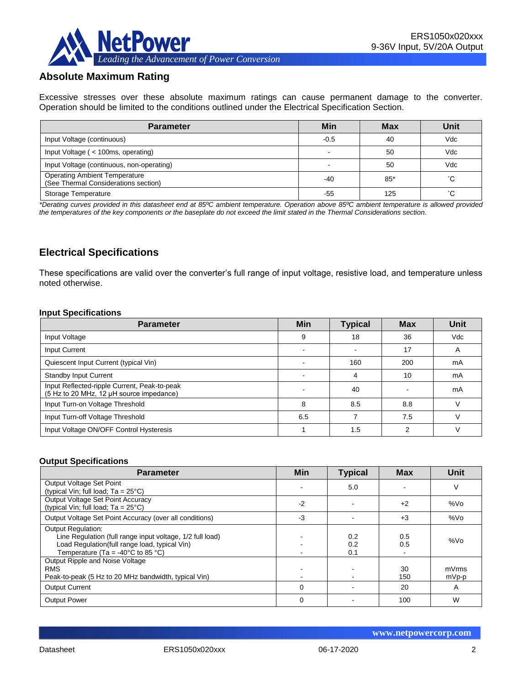

## **Absolute Maximum Rating**

Excessive stresses over these absolute maximum ratings can cause permanent damage to the converter. Operation should be limited to the conditions outlined under the Electrical Specification Section.

| <b>Parameter</b>                                                             | Min    | <b>Max</b> | Unit |
|------------------------------------------------------------------------------|--------|------------|------|
| Input Voltage (continuous)                                                   | $-0.5$ | 40         | Vdc  |
| Input Voltage ( < 100ms, operating)                                          |        | 50         | Vdc  |
| Input Voltage (continuous, non-operating)                                    |        | 50         | Vdc  |
| <b>Operating Ambient Temperature</b><br>(See Thermal Considerations section) | -40    | $85*$      | °С   |
| Storage Temperature                                                          | -55    | 125        | °С   |

*\*Derating curves provided in this datasheet end at 85ºC ambient temperature. Operation above 85ºC ambient temperature is allowed provided the temperatures of the key components or the baseplate do not exceed the limit stated in the Thermal Considerations section.*

## **Electrical Specifications**

These specifications are valid over the converter's full range of input voltage, resistive load, and temperature unless noted otherwise.

#### **Input Specifications**

| <b>Parameter</b>                                                                         | <b>Min</b> | <b>Typical</b> | <b>Max</b> | Unit       |
|------------------------------------------------------------------------------------------|------------|----------------|------------|------------|
| Input Voltage                                                                            | 9          | 18             | 36         | <b>Vdc</b> |
| Input Current                                                                            |            |                | 17         | A          |
| Quiescent Input Current (typical Vin)                                                    |            | 160            | 200        | mA         |
| <b>Standby Input Current</b>                                                             |            |                | 10         | mA         |
| Input Reflected-ripple Current, Peak-to-peak<br>(5 Hz to 20 MHz, 12 µH source impedance) |            | 40             |            | mA         |
| Input Turn-on Voltage Threshold                                                          | 8          | 8.5            | 8.8        |            |
| Input Turn-off Voltage Threshold                                                         | 6.5        |                | 7.5        |            |
| Input Voltage ON/OFF Control Hysteresis                                                  |            | 1.5            | っ          |            |

#### **Output Specifications**

| <b>Parameter</b>                                                                                                                                                                                  | Min      | <b>Typical</b>    | <b>Max</b> | Unit            |
|---------------------------------------------------------------------------------------------------------------------------------------------------------------------------------------------------|----------|-------------------|------------|-----------------|
| Output Voltage Set Point<br>(typical Vin; full load; $Ta = 25^{\circ}C$ )                                                                                                                         |          | 5.0               |            | V               |
| Output Voltage Set Point Accuracy<br>(typical Vin; full load; $Ta = 25^{\circ}C$ )                                                                                                                | $-2$     |                   | $+2$       | %V <sub>O</sub> |
| Output Voltage Set Point Accuracy (over all conditions)                                                                                                                                           | -3       |                   | $+3$       | %Vo             |
| <b>Output Regulation:</b><br>Line Regulation (full range input voltage, 1/2 full load)<br>Load Regulation(full range load, typical Vin)<br>Temperature (Ta = -40 $^{\circ}$ C to 85 $^{\circ}$ C) |          | 0.2<br>0.2<br>0.1 | 0.5<br>0.5 | %Vo             |
| Output Ripple and Noise Voltage<br><b>RMS</b><br>Peak-to-peak (5 Hz to 20 MHz bandwidth, typical Vin)                                                                                             |          |                   | 30<br>150  | mVrms<br>mVp-p  |
| <b>Output Current</b>                                                                                                                                                                             | $\Omega$ |                   | 20         | A               |
| <b>Output Power</b>                                                                                                                                                                               | $\Omega$ |                   | 100        | W               |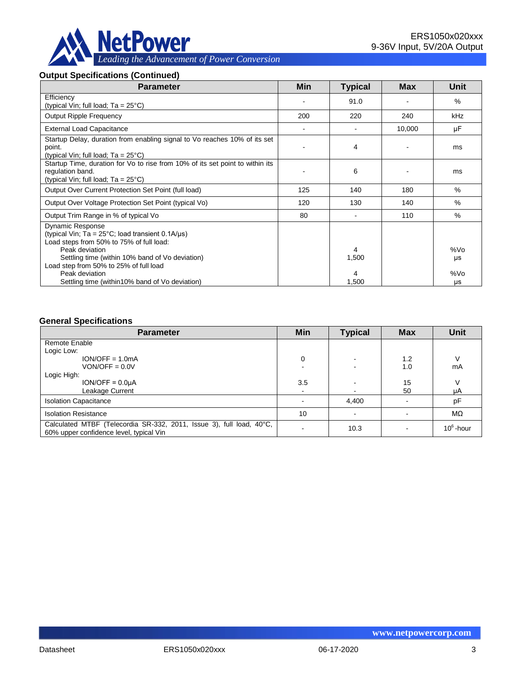

## **Output Specifications (Continued)**

| <b>Parameter</b>                                                                                                                                                                                             | Min | <b>Typical</b> | <b>Max</b> | Unit            |
|--------------------------------------------------------------------------------------------------------------------------------------------------------------------------------------------------------------|-----|----------------|------------|-----------------|
| Efficiency<br>(typical Vin; full load; $Ta = 25^{\circ}C$ )                                                                                                                                                  |     | 91.0           |            | $\%$            |
| <b>Output Ripple Frequency</b>                                                                                                                                                                               | 200 | 220            | 240        | kHz             |
| <b>External Load Capacitance</b>                                                                                                                                                                             |     |                | 10,000     | μF              |
| Startup Delay, duration from enabling signal to Vo reaches 10% of its set<br>point.<br>(typical Vin; full load; $Ta = 25^{\circ}C$ )                                                                         |     | 4              |            | ms              |
| Startup Time, duration for Vo to rise from 10% of its set point to within its<br>regulation band.<br>(typical Vin; full load; $Ta = 25^{\circ}C$ )                                                           |     | 6              |            | ms              |
| Output Over Current Protection Set Point (full load)                                                                                                                                                         | 125 | 140            | 180        | $\%$            |
| Output Over Voltage Protection Set Point (typical Vo)                                                                                                                                                        | 120 | 130            | 140        | %               |
| Output Trim Range in % of typical Vo                                                                                                                                                                         | 80  |                | 110        | $\%$            |
| <b>Dynamic Response</b><br>(typical Vin; Ta = $25^{\circ}$ C; load transient 0.1A/ $\mu$ s)<br>Load steps from 50% to 75% of full load:<br>Peak deviation<br>Settling time (within 10% band of Vo deviation) |     | 4<br>1,500     |            | %Vo             |
| Load step from 50% to 25% of full load<br>Peak deviation<br>Settling time (within 10% band of Vo deviation)                                                                                                  |     | 4<br>1,500     |            | μs<br>%Vo<br>μs |

#### **General Specifications**

| <b>Parameter</b>                                                                                                | Min | <b>Typical</b> | <b>Max</b> | <b>Unit</b>  |
|-----------------------------------------------------------------------------------------------------------------|-----|----------------|------------|--------------|
| Remote Enable                                                                                                   |     |                |            |              |
| Logic Low:                                                                                                      |     |                |            |              |
| $ION/OFF = 1.0mA$                                                                                               | 0   |                | 1.2        |              |
| $VON/OFF = 0.0V$                                                                                                |     |                | 1.0        | mA           |
| Logic High:                                                                                                     |     |                |            |              |
| $ION/OFF = 0.0µA$                                                                                               | 3.5 |                | 15         | V            |
| Leakage Current                                                                                                 |     |                | 50         | μA           |
| <b>Isolation Capacitance</b>                                                                                    |     | 4,400          |            | pF           |
| <b>Isolation Resistance</b>                                                                                     | 10  |                |            | $M\Omega$    |
| Calculated MTBF (Telecordia SR-332, 2011, Issue 3), full load, 40°C,<br>60% upper confidence level, typical Vin |     | 10.3           |            | $10^6$ -hour |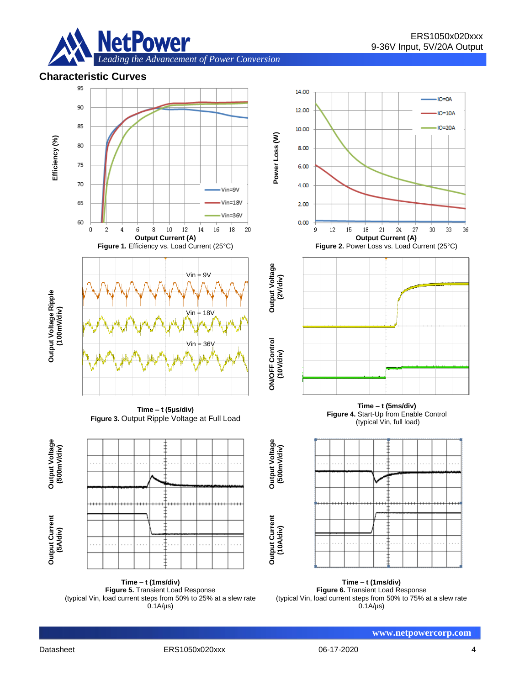

*Leading the Advancement of Power Conversion* 

## **Characteristic Curves**



**Time – t (1ms/div) Figure 5.** Transient Load Response (typical Vin, load current steps from 50% to 25% at a slew rate  $0.1A/\mu s$ 

**Time – t (1ms/div) Figure 6.** Transient Load Response (typical Vin, load current steps from 50% to 75% at a slew rate  $0.1A/\mu s$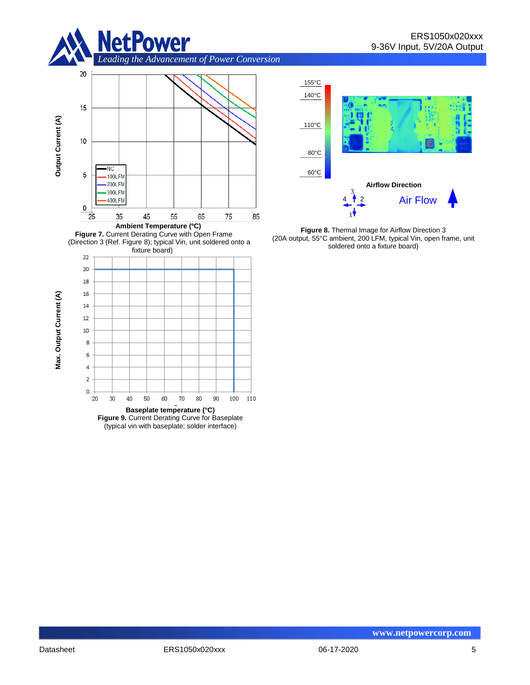

*Leading the Advancement of Power Conversion* 







**Figure 9.** Current Derating Curve for Baseplate (typical vin with baseplate; solder interface)



**Figure 8.** Thermal Image for Airflow Direction 3 (20A output, 55°C ambient, 200 LFM, typical Vin, open frame, unit soldered onto a fixture board)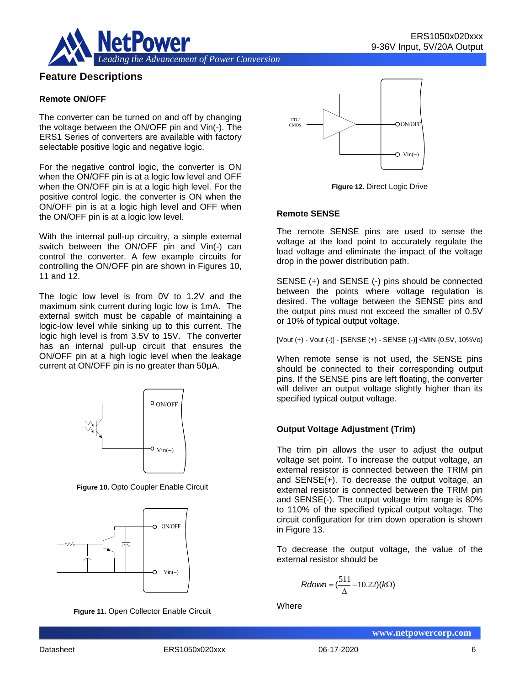



## **Feature Descriptions**

#### **Remote ON/OFF**

The converter can be turned on and off by changing the voltage between the ON/OFF pin and Vin(-). The ERS1 Series of converters are available with factory selectable positive logic and negative logic.

For the negative control logic, the converter is ON when the ON/OFF pin is at a logic low level and OFF when the ON/OFF pin is at a logic high level. For the positive control logic, the converter is ON when the ON/OFF pin is at a logic high level and OFF when the ON/OFF pin is at a logic low level.

With the internal pull-up circuitry, a simple external switch between the ON/OFF pin and Vin(-) can control the converter. A few example circuits for controlling the ON/OFF pin are shown in Figures 10, 11 and 12.

The logic low level is from 0V to 1.2V and the maximum sink current during logic low is 1mA. The external switch must be capable of maintaining a logic-low level while sinking up to this current. The logic high level is from 3.5V to 15V. The converter has an internal pull-up circuit that ensures the ON/OFF pin at a high logic level when the leakage current at ON/OFF pin is no greater than 50μA.



**Figure 10.** Opto Coupler Enable Circuit







**Figure 12.** Direct Logic Drive

#### **Remote SENSE**

The remote SENSE pins are used to sense the voltage at the load point to accurately regulate the load voltage and eliminate the impact of the voltage drop in the power distribution path.

SENSE (+) and SENSE (-) pins should be connected between the points where voltage regulation is desired. The voltage between the SENSE pins and the output pins must not exceed the smaller of 0.5V or 10% of typical output voltage.

[Vout (+) - Vout (-)] - [SENSE (+) - SENSE (-)] <MIN {0.5V, 10%Vo}

When remote sense is not used, the SENSE pins should be connected to their corresponding output pins. If the SENSE pins are left floating, the converter will deliver an output voltage slightly higher than its specified typical output voltage.

#### **Output Voltage Adjustment (Trim)**

The trim pin allows the user to adjust the output voltage set point. To increase the output voltage, an external resistor is connected between the TRIM pin and SENSE(+). To decrease the output voltage, an external resistor is connected between the TRIM pin and SENSE(-). The output voltage trim range is 80% to 110% of the specified typical output voltage. The circuit configuration for trim down operation is shown in Figure 13.

To decrease the output voltage, the value of the external resistor should be

$$
Rdown = (\frac{511}{\Delta} - 10.22)(k\Omega)
$$

**Where**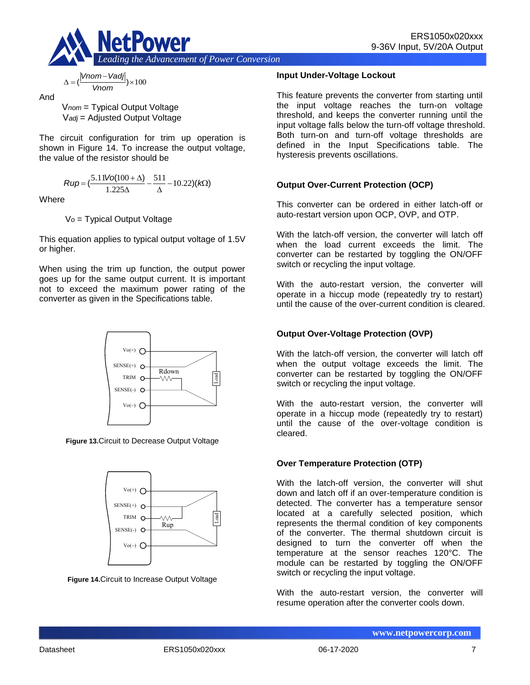

$$
\Delta = (\frac{|Vnom - Vadj|}{Vnom}) \times 100
$$

And

V*nom* = Typical Output Voltage V*adj* = Adjusted Output Voltage

The circuit configuration for trim up operation is shown in Figure 14. To increase the output voltage, the value of the resistor should be

$$
Rup = \left(\frac{5.11\text{Vol}(100 + \Delta)}{1.225\Delta} - \frac{511}{\Delta} - 10.22\right)(k\Omega)
$$

**Where** 

V*o* = Typical Output Voltage

This equation applies to typical output voltage of 1.5V or higher.

When using the trim up function, the output power goes up for the same output current. It is important not to exceed the maximum power rating of the converter as given in the Specifications table.



**Figure 13.**Circuit to Decrease Output Voltage



**Figure 14.**Circuit to Increase Output Voltage

### **Input Under-Voltage Lockout**

This feature prevents the converter from starting until the input voltage reaches the turn-on voltage threshold, and keeps the converter running until the input voltage falls below the turn-off voltage threshold. Both turn-on and turn-off voltage thresholds are defined in the Input Specifications table. The hysteresis prevents oscillations.

## **Output Over-Current Protection (OCP)**

This converter can be ordered in either latch-off or auto-restart version upon OCP, OVP, and OTP.

With the latch-off version, the converter will latch off when the load current exceeds the limit. The converter can be restarted by toggling the ON/OFF switch or recycling the input voltage.

With the auto-restart version, the converter will operate in a hiccup mode (repeatedly try to restart) until the cause of the over-current condition is cleared.

## **Output Over-Voltage Protection (OVP)**

With the latch-off version, the converter will latch off when the output voltage exceeds the limit. The converter can be restarted by toggling the ON/OFF switch or recycling the input voltage.

With the auto-restart version, the converter will operate in a hiccup mode (repeatedly try to restart) until the cause of the over-voltage condition is cleared.

## **Over Temperature Protection (OTP)**

With the latch-off version, the converter will shut down and latch off if an over-temperature condition is detected. The converter has a temperature sensor located at a carefully selected position, which represents the thermal condition of key components of the converter. The thermal shutdown circuit is designed to turn the converter off when the temperature at the sensor reaches 120°C. The module can be restarted by toggling the ON/OFF switch or recycling the input voltage.

With the auto-restart version, the converter will resume operation after the converter cools down.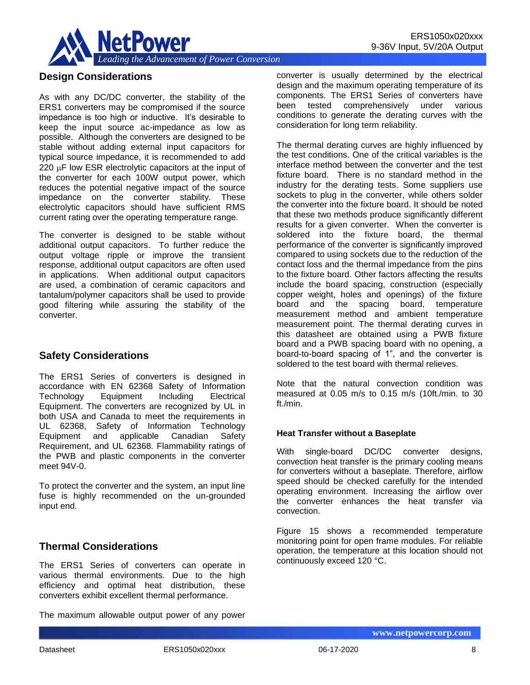

## **Design Considerations**

As with any DC/DC converter, the stability of the ERS1 converters may be compromised if the source impedance is too high or inductive. It's desirable to keep the input source ac-impedance as low as possible. Although the converters are designed to be stable without adding external input capacitors for typical source impedance, it is recommended to add  $220 \mu$ F low ESR electrolytic capacitors at the input of the converter for each 100W output power, which reduces the potential negative impact of the source impedance on the converter stability. These electrolytic capacitors should have sufficient RMS current rating over the operating temperature range.

The converter is designed to be stable without additional output capacitors. To further reduce the output voltage ripple or improve the transient response, additional output capacitors are often used in applications. When additional output capacitors are used, a combination of ceramic capacitors and tantalum/polymer capacitors shall be used to provide good filtering while assuring the stability of the converter.

## **Safety Considerations**

The ERS1 Series of converters is designed in accordance with EN 62368 Safety of Information Technology Equipment Including Electrical Equipment. The converters are recognized by UL in both USA and Canada to meet the requirements in UL 62368, Safety of Information Technology Equipment and applicable Canadian Safety Requirement, and UL 62368. Flammability ratings of the PWB and plastic components in the converter meet 94V-0.

To protect the converter and the system, an input line fuse is highly recommended on the un-grounded input end.

## **Thermal Considerations**

The ERS1 Series of converters can operate in various thermal environments. Due to the high efficiency and optimal heat distribution, these converters exhibit excellent thermal performance.

The maximum allowable output power of any power

converter is usually determined by the electrical design and the maximum operating temperature of its components. The ERS1 Series of converters have been tested comprehensively under various conditions to generate the derating curves with the consideration for long term reliability.

The thermal derating curves are highly influenced by the test conditions. One of the critical variables is the interface method between the converter and the test fixture board. There is no standard method in the industry for the derating tests. Some suppliers use sockets to plug in the converter, while others solder the converter into the fixture board. It should be noted that these two methods produce significantly different results for a given converter. When the converter is soldered into the fixture board, the thermal performance of the converter is significantly improved compared to using sockets due to the reduction of the contact loss and the thermal impedance from the pins to the fixture board. Other factors affecting the results include the board spacing, construction (especially copper weight, holes and openings) of the fixture board and the spacing board, temperature measurement method and ambient temperature measurement point. The thermal derating curves in this datasheet are obtained using a PWB fixture board and a PWB spacing board with no opening, a board-to-board spacing of 1", and the converter is soldered to the test board with thermal relieves.

Note that the natural convection condition was measured at 0.05 m/s to 0.15 m/s (10ft./min. to 30 ft./min.

#### **Heat Transfer without a Baseplate**

With single-board DC/DC converter designs, convection heat transfer is the primary cooling means for converters without a baseplate. Therefore, airflow speed should be checked carefully for the intended operating environment. Increasing the airflow over the converter enhances the heat transfer via convection.

Figure 15 shows a recommended temperature monitoring point for open frame modules. For reliable operation, the temperature at this location should not continuously exceed 120 °C.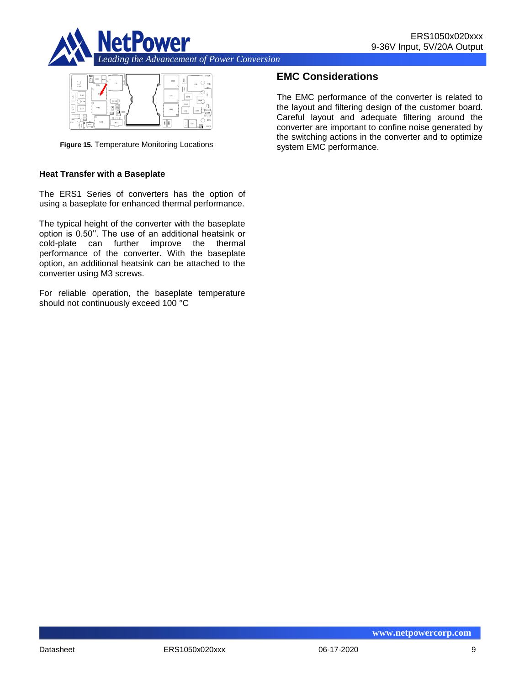



**Figure 15.** Temperature Monitoring Locations

#### **Heat Transfer with a Baseplate**

The ERS1 Series of converters has the option of using a baseplate for enhanced thermal performance.

The typical height of the converter with the baseplate option is 0.50''. The use of an additional heatsink or cold-plate can further improve the thermal performance of the converter. With the baseplate option, an additional heatsink can be attached to the converter using M3 screws.

For reliable operation, the baseplate temperature should not continuously exceed 100 °C

## **EMC Considerations**

The EMC performance of the converter is related to the layout and filtering design of the customer board. Careful layout and adequate filtering around the converter are important to confine noise generated by the switching actions in the converter and to optimize system EMC performance.